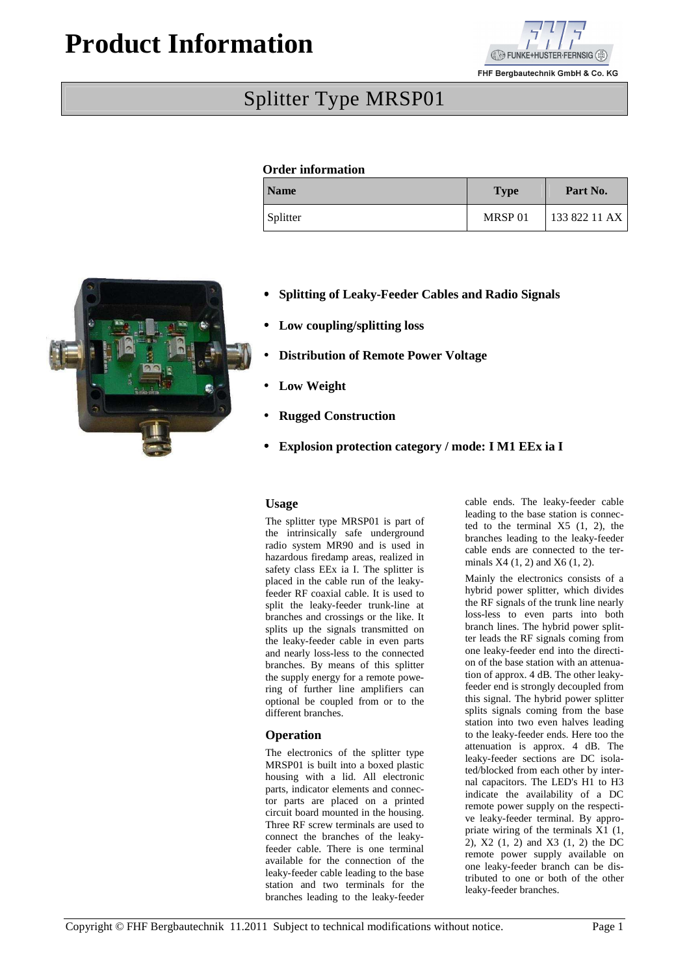# **Product Information**



FHF Bergbautechnik GmbH & Co. KG

# Splitter Type MRSP01

## **Order information**

| <b>Name</b> | <b>Type</b>        | Part No.      |
|-------------|--------------------|---------------|
| Splitter    | MRSP <sub>01</sub> | 133 822 11 AX |



- • **Splitting of Leaky-Feeder Cables and Radio Signals**
- • **Low coupling/splitting loss**
- **Distribution of Remote Power Voltage**
- Low Weight
- **Rugged Construction**
- • **Explosion protection category / mode: I M1 EEx ia I**

#### **Usage**

The splitter type MRSP01 is part of the intrinsically safe underground radio system MR90 and is used in hazardous firedamp areas, realized in safety class EEx ia I. The splitter is placed in the cable run of the leakyfeeder RF coaxial cable. It is used to split the leaky-feeder trunk-line at branches and crossings or the like. It splits up the signals transmitted on the leaky-feeder cable in even parts and nearly loss-less to the connected branches. By means of this splitter the supply energy for a remote powering of further line amplifiers can optional be coupled from or to the different branches.

#### **Operation**

The electronics of the splitter type MRSP01 is built into a boxed plastic housing with a lid. All electronic parts, indicator elements and connector parts are placed on a printed circuit board mounted in the housing. Three RF screw terminals are used to connect the branches of the leakyfeeder cable. There is one terminal available for the connection of the leaky-feeder cable leading to the base station and two terminals for the branches leading to the leaky-feeder cable ends. The leaky-feeder cable leading to the base station is connected to the terminal  $X5(1, 2)$ , the branches leading to the leaky-feeder cable ends are connected to the terminals X4 (1, 2) and X6 (1, 2).

Mainly the electronics consists of a hybrid power splitter, which divides the RF signals of the trunk line nearly loss-less to even parts into both branch lines. The hybrid power splitter leads the RF signals coming from one leaky-feeder end into the direction of the base station with an attenuation of approx. 4 dB. The other leakyfeeder end is strongly decoupled from this signal. The hybrid power splitter splits signals coming from the base station into two even halves leading to the leaky-feeder ends. Here too the attenuation is approx. 4 dB. The leaky-feeder sections are DC isolated/blocked from each other by internal capacitors. The LED's H1 to H3 indicate the availability of a DC remote power supply on the respective leaky-feeder terminal. By appropriate wiring of the terminals X1 (1, 2), X2 (1, 2) and X3 (1, 2) the DC remote power supply available on one leaky-feeder branch can be distributed to one or both of the other leaky-feeder branches.